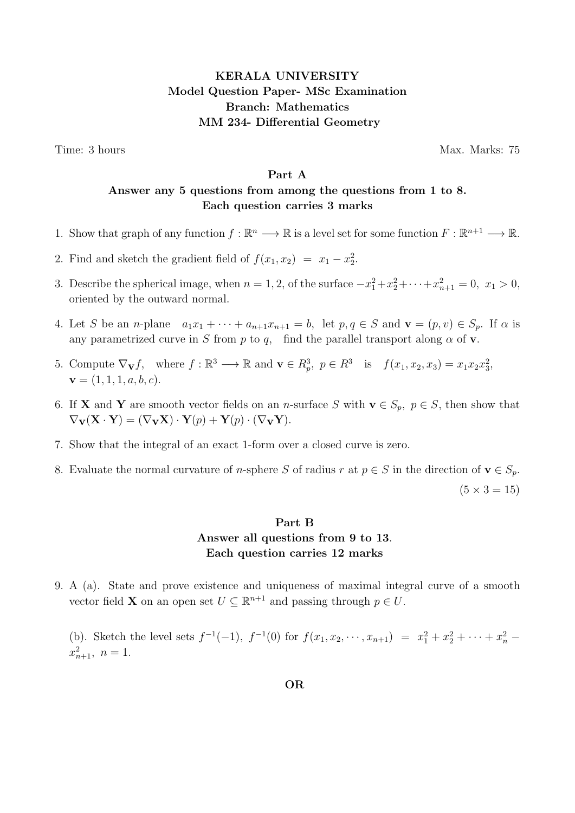# KERALA UNIVERSITY Model Question Paper- MSc Examination Branch: Mathematics MM 234- Differential Geometry

Time: 3 hours Max. Marks: 75

### Part A

## Answer any 5 questions from among the questions from 1 to 8. Each question carries 3 marks

- 1. Show that graph of any function  $f : \mathbb{R}^n \longrightarrow \mathbb{R}$  is a level set for some function  $F : \mathbb{R}^{n+1} \longrightarrow \mathbb{R}$ .
- 2. Find and sketch the gradient field of  $f(x_1, x_2) = x_1 x_2^2$ .
- 3. Describe the spherical image, when  $n = 1, 2$ , of the surface  $-x_1^2 + x_2^2 + \cdots + x_{n+1}^2 = 0$ ,  $x_1 > 0$ , oriented by the outward normal.
- 4. Let S be an n-plane  $a_1x_1 + \cdots + a_{n+1}x_{n+1} = b$ , let  $p, q \in S$  and  $\mathbf{v} = (p, v) \in S_p$ . If  $\alpha$  is any parametrized curve in S from p to q, find the parallel transport along  $\alpha$  of v.
- 5. Compute  $\nabla_{\mathbf{V}} f$ , where  $f : \mathbb{R}^3 \longrightarrow \mathbb{R}$  and  $\mathbf{v} \in R_p^3$ ,  $p \in R^3$  is  $f(x_1, x_2, x_3) = x_1 x_2 x_3^2$ ,  $\mathbf{v} = (1, 1, 1, a, b, c).$
- 6. If **X** and **Y** are smooth vector fields on an *n*-surface S with  $\mathbf{v} \in S_p$ ,  $p \in S$ , then show that  $\nabla_{\mathbf{V}}(\mathbf{X} \cdot \mathbf{Y}) = (\nabla_{\mathbf{V}} \mathbf{X}) \cdot \mathbf{Y}(p) + \mathbf{Y}(p) \cdot (\nabla_{\mathbf{V}} \mathbf{Y}).$
- 7. Show that the integral of an exact 1-form over a closed curve is zero.
- 8. Evaluate the normal curvature of *n*-sphere S of radius r at  $p \in S$  in the direction of  $\mathbf{v} \in S_p$ .

 $(5 \times 3 = 15)$ 

# Part B Answer all questions from 9 to 13. Each question carries 12 marks

9. A (a). State and prove existence and uniqueness of maximal integral curve of a smooth vector field **X** on an open set  $U \subseteq \mathbb{R}^{n+1}$  and passing through  $p \in U$ .

(b). Sketch the level sets  $f^{-1}(-1)$ ,  $f^{-1}(0)$  for  $f(x_1, x_2, \dots, x_{n+1}) = x_1^2 + x_2^2 + \dots + x_n^2$  $x_{n+1}^2$ ,  $n=1$ .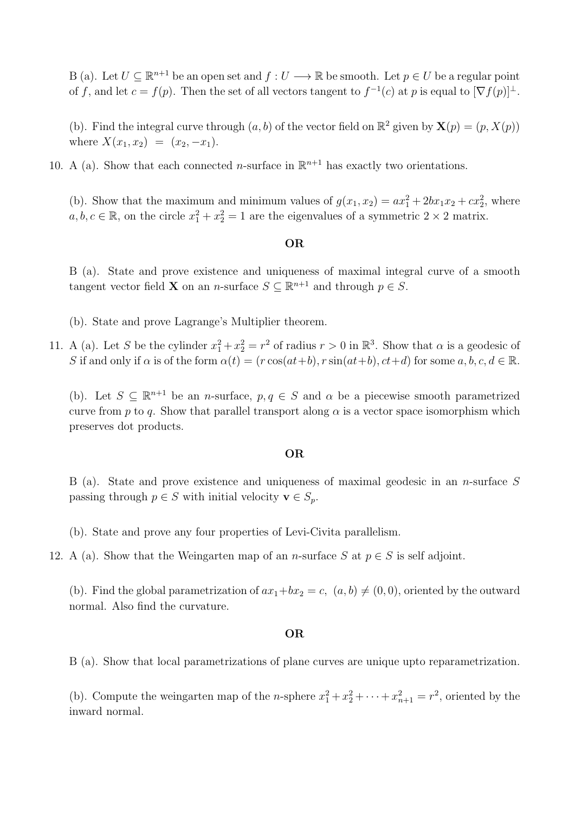B (a). Let  $U \subseteq \mathbb{R}^{n+1}$  be an open set and  $f: U \longrightarrow \mathbb{R}$  be smooth. Let  $p \in U$  be a regular point of f, and let  $c = f(p)$ . Then the set of all vectors tangent to  $f^{-1}(c)$  at p is equal to  $[\nabla f(p)]^{\perp}$ .

(b). Find the integral curve through  $(a, b)$  of the vector field on  $\mathbb{R}^2$  given by  $\mathbf{X}(p) = (p, X(p))$ where  $X(x_1, x_2) = (x_2, -x_1)$ .

10. A (a). Show that each connected *n*-surface in  $\mathbb{R}^{n+1}$  has exactly two orientations.

(b). Show that the maximum and minimum values of  $g(x_1, x_2) = ax_1^2 + 2bx_1x_2 + cx_2^2$ , where  $a, b, c \in \mathbb{R}$ , on the circle  $x_1^2 + x_2^2 = 1$  are the eigenvalues of a symmetric  $2 \times 2$  matrix.

#### OR

B (a). State and prove existence and uniqueness of maximal integral curve of a smooth tangent vector field **X** on an *n*-surface  $S \subseteq \mathbb{R}^{n+1}$  and through  $p \in S$ .

(b). State and prove Lagrange's Multiplier theorem.

11. A (a). Let S be the cylinder  $x_1^2 + x_2^2 = r^2$  of radius  $r > 0$  in  $\mathbb{R}^3$ . Show that  $\alpha$  is a geodesic of S if and only if  $\alpha$  is of the form  $\alpha(t) = (r \cos(at+b), r \sin(at+b), ct+d)$  for some  $a, b, c, d \in \mathbb{R}$ .

(b). Let  $S \subseteq \mathbb{R}^{n+1}$  be an *n*-surface,  $p, q \in S$  and  $\alpha$  be a piecewise smooth parametrized curve from p to q. Show that parallel transport along  $\alpha$  is a vector space isomorphism which preserves dot products.

#### OR

B (a). State and prove existence and uniqueness of maximal geodesic in an n-surface S passing through  $p \in S$  with initial velocity  $\mathbf{v} \in S_p$ .

- (b). State and prove any four properties of Levi-Civita parallelism.
- 12. A (a). Show that the Weingarten map of an *n*-surface S at  $p \in S$  is self adjoint.

(b). Find the global parametrization of  $ax_1+bx_2 = c$ ,  $(a, b) \neq (0, 0)$ , oriented by the outward normal. Also find the curvature.

#### OR

B (a). Show that local parametrizations of plane curves are unique upto reparametrization.

(b). Compute the weingarten map of the *n*-sphere  $x_1^2 + x_2^2 + \cdots + x_{n+1}^2 = r^2$ , oriented by the inward normal.